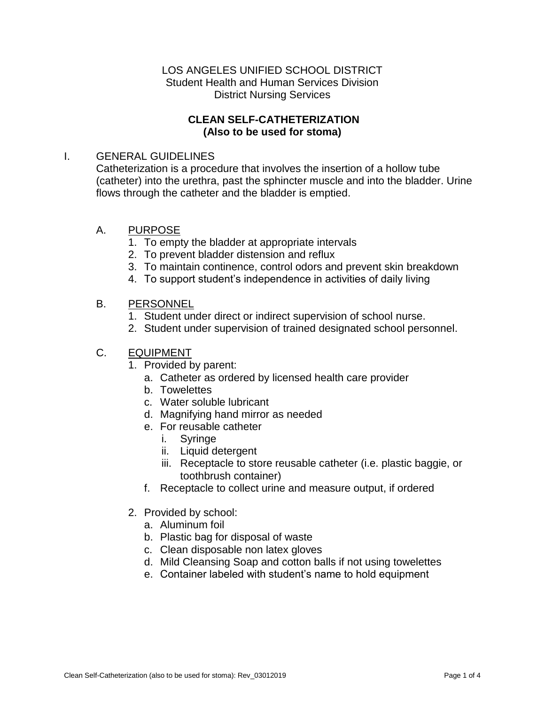## LOS ANGELES UNIFIED SCHOOL DISTRICT Student Health and Human Services Division District Nursing Services

## **CLEAN SELF-CATHETERIZATION (Also to be used for stoma)**

## I. GENERAL GUIDELINES

Catheterization is a procedure that involves the insertion of a hollow tube (catheter) into the urethra, past the sphincter muscle and into the bladder. Urine flows through the catheter and the bladder is emptied.

## A. PURPOSE

- 1. To empty the bladder at appropriate intervals
- 2. To prevent bladder distension and reflux
- 3. To maintain continence, control odors and prevent skin breakdown
- 4. To support student's independence in activities of daily living

## B. PERSONNEL

- 1. Student under direct or indirect supervision of school nurse.
- 2. Student under supervision of trained designated school personnel.

# C. EQUIPMENT

- 1. Provided by parent:
	- a. Catheter as ordered by licensed health care provider
	- b. Towelettes
	- c. Water soluble lubricant
	- d. Magnifying hand mirror as needed
	- e. For reusable catheter
		- i. Syringe
		- ii. Liquid detergent
		- iii. Receptacle to store reusable catheter (i.e. plastic baggie, or toothbrush container)
	- f. Receptacle to collect urine and measure output, if ordered
- 2. Provided by school:
	- a. Aluminum foil
	- b. Plastic bag for disposal of waste
	- c. Clean disposable non latex gloves
	- d. Mild Cleansing Soap and cotton balls if not using towelettes
	- e. Container labeled with student's name to hold equipment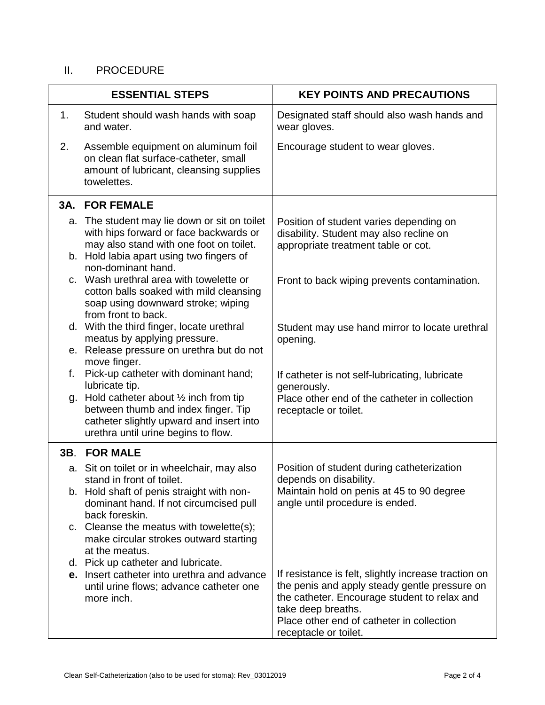# II. PROCEDURE

|     | <b>ESSENTIAL STEPS</b>                                                                                                                                                        | <b>KEY POINTS AND PRECAUTIONS</b>                                                                                                                                                                                                                 |
|-----|-------------------------------------------------------------------------------------------------------------------------------------------------------------------------------|---------------------------------------------------------------------------------------------------------------------------------------------------------------------------------------------------------------------------------------------------|
| 1.  | Student should wash hands with soap<br>and water.                                                                                                                             | Designated staff should also wash hands and<br>wear gloves.                                                                                                                                                                                       |
| 2.  | Assemble equipment on aluminum foil<br>on clean flat surface-catheter, small<br>amount of lubricant, cleansing supplies<br>towelettes.                                        | Encourage student to wear gloves.                                                                                                                                                                                                                 |
| 3A. | <b>FOR FEMALE</b>                                                                                                                                                             |                                                                                                                                                                                                                                                   |
|     | a. The student may lie down or sit on toilet<br>with hips forward or face backwards or<br>may also stand with one foot on toilet.<br>b. Hold labia apart using two fingers of | Position of student varies depending on<br>disability. Student may also recline on<br>appropriate treatment table or cot.                                                                                                                         |
|     | non-dominant hand.<br>c. Wash urethral area with towelette or<br>cotton balls soaked with mild cleansing<br>soap using downward stroke; wiping                                | Front to back wiping prevents contamination.                                                                                                                                                                                                      |
|     | from front to back.<br>d. With the third finger, locate urethral<br>meatus by applying pressure.<br>e. Release pressure on urethra but do not                                 | Student may use hand mirror to locate urethral<br>opening.                                                                                                                                                                                        |
| f.  | move finger.<br>Pick-up catheter with dominant hand;<br>lubricate tip.                                                                                                        | If catheter is not self-lubricating, lubricate<br>generously.                                                                                                                                                                                     |
| g.  | Hold catheter about $\frac{1}{2}$ inch from tip<br>between thumb and index finger. Tip<br>catheter slightly upward and insert into<br>urethra until urine begins to flow.     | Place other end of the catheter in collection<br>receptacle or toilet.                                                                                                                                                                            |
| 3B. | <b>FOR MALE</b>                                                                                                                                                               |                                                                                                                                                                                                                                                   |
|     | a. Sit on toilet or in wheelchair, may also<br>stand in front of toilet.                                                                                                      | Position of student during catheterization<br>depends on disability.                                                                                                                                                                              |
|     | b. Hold shaft of penis straight with non-<br>dominant hand. If not circumcised pull<br>back foreskin.                                                                         | Maintain hold on penis at 45 to 90 degree<br>angle until procedure is ended.                                                                                                                                                                      |
|     | c. Cleanse the meatus with towelette(s);<br>make circular strokes outward starting<br>at the meatus.                                                                          |                                                                                                                                                                                                                                                   |
|     | d. Pick up catheter and lubricate.                                                                                                                                            |                                                                                                                                                                                                                                                   |
|     | e. Insert catheter into urethra and advance<br>until urine flows; advance catheter one<br>more inch.                                                                          | If resistance is felt, slightly increase traction on<br>the penis and apply steady gentle pressure on<br>the catheter. Encourage student to relax and<br>take deep breaths.<br>Place other end of catheter in collection<br>receptacle or toilet. |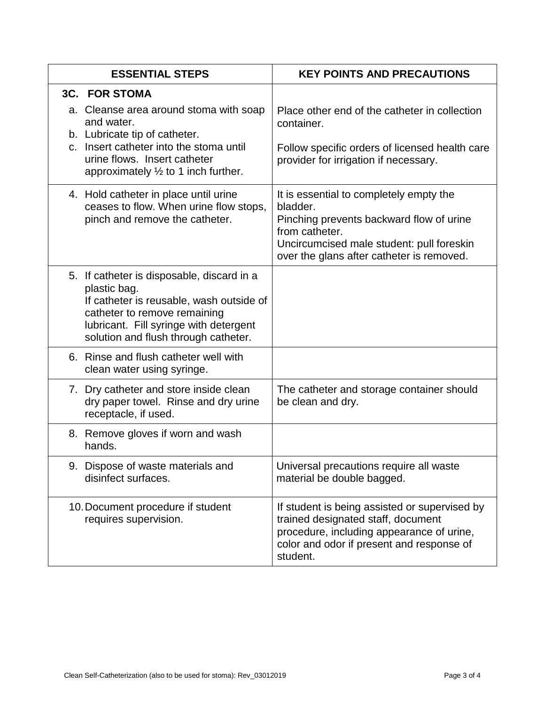| <b>ESSENTIAL STEPS</b>                                                                                                                                                                                                   | <b>KEY POINTS AND PRECAUTIONS</b>                                                                                                                                                                           |
|--------------------------------------------------------------------------------------------------------------------------------------------------------------------------------------------------------------------------|-------------------------------------------------------------------------------------------------------------------------------------------------------------------------------------------------------------|
| <b>3C. FOR STOMA</b>                                                                                                                                                                                                     |                                                                                                                                                                                                             |
| a. Cleanse area around stoma with soap<br>and water.<br>b. Lubricate tip of catheter.<br>c. Insert catheter into the stoma until<br>urine flows. Insert catheter<br>approximately $\frac{1}{2}$ to 1 inch further.       | Place other end of the catheter in collection<br>container.<br>Follow specific orders of licensed health care<br>provider for irrigation if necessary.                                                      |
| 4. Hold catheter in place until urine<br>ceases to flow. When urine flow stops,<br>pinch and remove the catheter.                                                                                                        | It is essential to completely empty the<br>bladder.<br>Pinching prevents backward flow of urine<br>from catheter.<br>Uncircumcised male student: pull foreskin<br>over the glans after catheter is removed. |
| 5. If catheter is disposable, discard in a<br>plastic bag.<br>If catheter is reusable, wash outside of<br>catheter to remove remaining<br>lubricant. Fill syringe with detergent<br>solution and flush through catheter. |                                                                                                                                                                                                             |
| 6. Rinse and flush catheter well with<br>clean water using syringe.                                                                                                                                                      |                                                                                                                                                                                                             |
| 7. Dry catheter and store inside clean<br>dry paper towel. Rinse and dry urine<br>receptacle, if used.                                                                                                                   | The catheter and storage container should<br>be clean and dry.                                                                                                                                              |
| 8. Remove gloves if worn and wash<br>hands.                                                                                                                                                                              |                                                                                                                                                                                                             |
| 9. Dispose of waste materials and<br>disinfect surfaces.                                                                                                                                                                 | Universal precautions require all waste<br>material be double bagged.                                                                                                                                       |
| 10. Document procedure if student<br>requires supervision.                                                                                                                                                               | If student is being assisted or supervised by<br>trained designated staff, document<br>procedure, including appearance of urine,<br>color and odor if present and response of<br>student.                   |